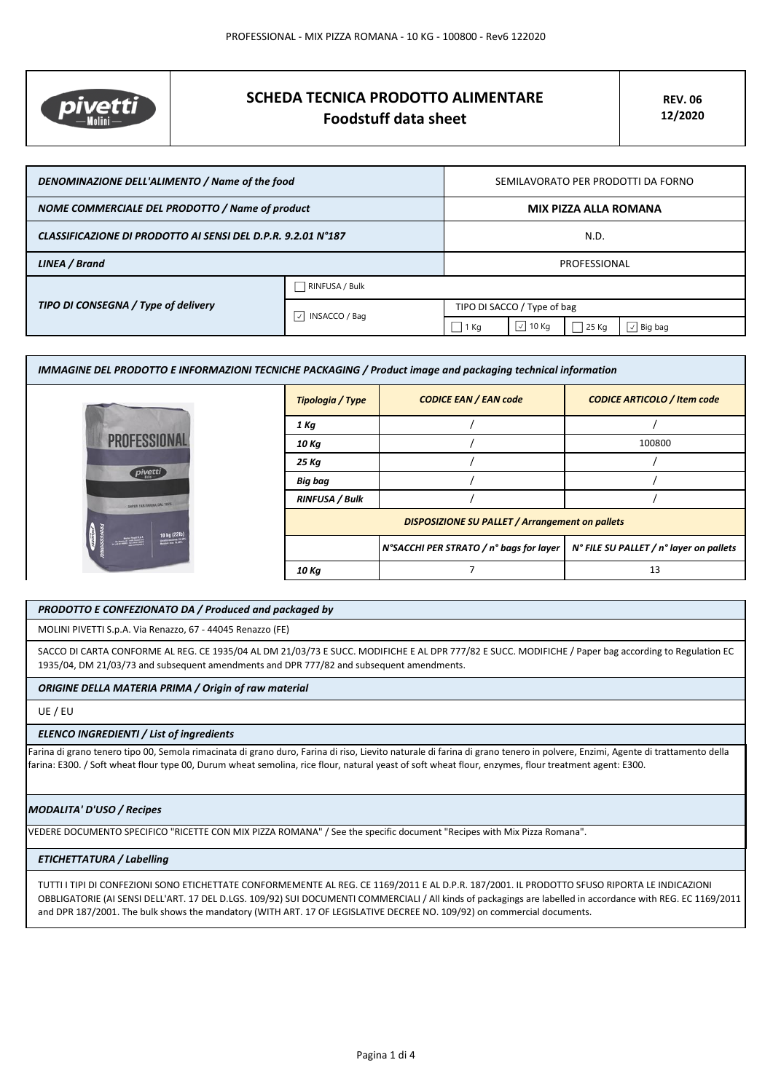

# **SCHEDA TECNICA PRODOTTO ALIMENTARE Foodstuff data sheet**

| DENOMINAZIONE DELL'ALIMENTO / Name of the food               |                                            | SEMILAVORATO PER PRODOTTI DA FORNO |                    |       |                |
|--------------------------------------------------------------|--------------------------------------------|------------------------------------|--------------------|-------|----------------|
| NOME COMMERCIALE DEL PRODOTTO / Name of product              |                                            | MIX PIZZA ALLA ROMANA              |                    |       |                |
| CLASSIFICAZIONE DI PRODOTTO AI SENSI DEL D.P.R. 9.2.01 N°187 |                                            | N.D.                               |                    |       |                |
| LINEA / Brand                                                |                                            | PROFESSIONAL                       |                    |       |                |
| TIPO DI CONSEGNA / Type of delivery                          | RINFUSA / Bulk                             |                                    |                    |       |                |
|                                                              | $\vert \vee \vert$<br><b>INSACCO / Bag</b> | TIPO DI SACCO / Type of bag        |                    |       |                |
|                                                              |                                            | 1 Kg                               | $\sqrt{}$<br>10 Kg | 25 Kg | $\vee$ Big bag |

| IMMAGINE DEL PRODOTTO E INFORMAZIONI TECNICHE PACKAGING / Product image and packaging technical information |                                                        |                                         |                                         |  |
|-------------------------------------------------------------------------------------------------------------|--------------------------------------------------------|-----------------------------------------|-----------------------------------------|--|
|                                                                                                             | Tipologia / Type                                       | <b>CODICE EAN / EAN code</b>            | <b>CODICE ARTICOLO / Item code</b>      |  |
| <i>pivetti</i>                                                                                              | 1 Kg                                                   |                                         |                                         |  |
|                                                                                                             | 10 Kg                                                  |                                         | 100800                                  |  |
|                                                                                                             | 25 Kg                                                  |                                         |                                         |  |
|                                                                                                             | Big bag                                                |                                         |                                         |  |
| SAPER FAR FARINA DAL 1875                                                                                   | <b>RINFUSA / Bulk</b>                                  |                                         |                                         |  |
| 10 kg (22lb)<br><b>September</b>                                                                            | <b>DISPOSIZIONE SU PALLET / Arrangement on pallets</b> |                                         |                                         |  |
|                                                                                                             |                                                        | N°SACCHI PER STRATO / n° bags for layer | N° FILE SU PALLET / n° layer on pallets |  |
|                                                                                                             | 10 Kg                                                  |                                         | 13                                      |  |

## *PRODOTTO E CONFEZIONATO DA / Produced and packaged by*

MOLINI PIVETTI S.p.A. Via Renazzo, 67 - 44045 Renazzo (FE)

SACCO DI CARTA CONFORME AL REG. CE 1935/04 AL DM 21/03/73 E SUCC. MODIFICHE E AL DPR 777/82 E SUCC. MODIFICHE / Paper bag according to Regulation EC 1935/04, DM 21/03/73 and subsequent amendments and DPR 777/82 and subsequent amendments.

## *ORIGINE DELLA MATERIA PRIMA / Origin of raw material*

UE / EU

#### *ELENCO INGREDIENTI / List of ingredients*

Farina di grano tenero tipo 00, Semola rimacinata di grano duro, Farina di riso, Lievito naturale di farina di grano tenero in polvere, Enzimi, Agente di trattamento della farina: E300. / Soft wheat flour type 00, Durum wheat semolina, rice flour, natural yeast of soft wheat flour, enzymes, flour treatment agent: E300.

### *MODALITA' D'USO / Recipes*

VEDERE DOCUMENTO SPECIFICO "RICETTE CON MIX PIZZA ROMANA" / See the specific document "Recipes with Mix Pizza Romana".

# *ETICHETTATURA / Labelling*

TUTTI I TIPI DI CONFEZIONI SONO ETICHETTATE CONFORMEMENTE AL REG. CE 1169/2011 E AL D.P.R. 187/2001. IL PRODOTTO SFUSO RIPORTA LE INDICAZIONI OBBLIGATORIE (AI SENSI DELL'ART. 17 DEL D.LGS. 109/92) SUI DOCUMENTI COMMERCIALI / All kinds of packagings are labelled in accordance with REG. EC 1169/2011 and DPR 187/2001. The bulk shows the mandatory (WITH ART. 17 OF LEGISLATIVE DECREE NO. 109/92) on commercial documents.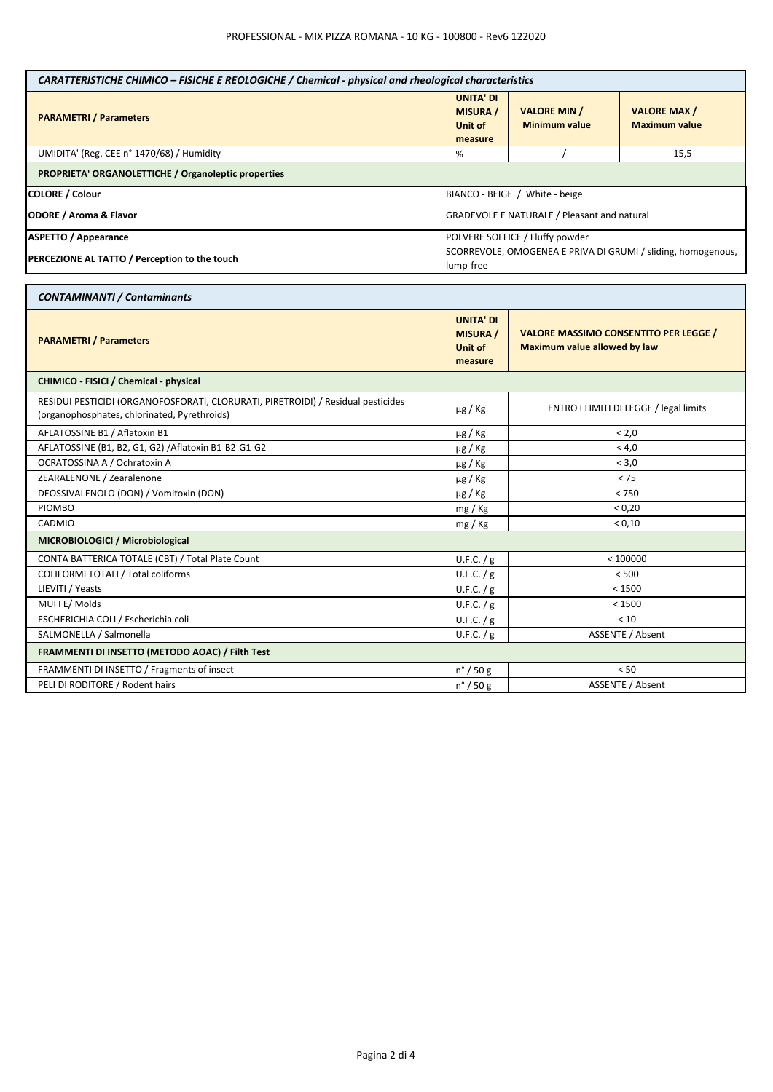| CARATTERISTICHE CHIMICO - FISICHE E REOLOGICHE / Chemical - physical and rheological characteristics                             |                                                                           |                                                                                     |                                            |
|----------------------------------------------------------------------------------------------------------------------------------|---------------------------------------------------------------------------|-------------------------------------------------------------------------------------|--------------------------------------------|
| <b>PARAMETRI / Parameters</b>                                                                                                    | <b>UNITA' DI</b><br><b>MISURA /</b><br><b>Unit of</b><br>measure          | <b>VALORE MIN /</b><br><b>Minimum value</b>                                         | <b>VALORE MAX/</b><br><b>Maximum value</b> |
| UMIDITA' (Reg. CEE n° 1470/68) / Humidity                                                                                        | %                                                                         |                                                                                     | 15,5                                       |
| PROPRIETA' ORGANOLETTICHE / Organoleptic properties                                                                              |                                                                           |                                                                                     |                                            |
| <b>COLORE / Colour</b>                                                                                                           | BIANCO - BEIGE / White - beige                                            |                                                                                     |                                            |
| <b>ODORE / Aroma &amp; Flavor</b>                                                                                                | GRADEVOLE E NATURALE / Pleasant and natural                               |                                                                                     |                                            |
| <b>ASPETTO / Appearance</b>                                                                                                      |                                                                           | POLVERE SOFFICE / Fluffy powder                                                     |                                            |
| PERCEZIONE AL TATTO / Perception to the touch                                                                                    | SCORREVOLE, OMOGENEA E PRIVA DI GRUMI / sliding, homogenous,<br>lump-free |                                                                                     |                                            |
| <b>CONTAMINANTI / Contaminants</b>                                                                                               |                                                                           |                                                                                     |                                            |
| <b>PARAMETRI / Parameters</b>                                                                                                    | <b>UNITA' DI</b><br><b>MISURA /</b><br>Unit of<br>measure                 | <b>VALORE MASSIMO CONSENTITO PER LEGGE /</b><br><b>Maximum value allowed by law</b> |                                            |
| CHIMICO - FISICI / Chemical - physical                                                                                           |                                                                           |                                                                                     |                                            |
| RESIDUI PESTICIDI (ORGANOFOSFORATI, CLORURATI, PIRETROIDI) / Residual pesticides<br>(organophosphates, chlorinated, Pyrethroids) | µg / Kg                                                                   | ENTRO I LIMITI DI LEGGE / legal limits                                              |                                            |
| AFLATOSSINE B1 / Aflatoxin B1                                                                                                    | µg / Kg                                                                   | < 2.0                                                                               |                                            |
| AFLATOSSINE (B1, B2, G1, G2) / Aflatoxin B1-B2-G1-G2                                                                             | µg / Kg                                                                   | < 4,0                                                                               |                                            |
| OCRATOSSINA A / Ochratoxin A                                                                                                     | $\mu$ g / Kg                                                              | < 3,0                                                                               |                                            |
| ZEARALENONE / Zearalenone                                                                                                        | $\mu$ g / Kg                                                              | < 75                                                                                |                                            |
| DEOSSIVALENOLO (DON) / Vomitoxin (DON)                                                                                           | µg / Kg                                                                   | < 750                                                                               |                                            |
| <b>PIOMBO</b>                                                                                                                    | mg / Kg                                                                   | < 0.20                                                                              |                                            |
| CADMIO                                                                                                                           | mg / Kg                                                                   | < 0,10                                                                              |                                            |
| MICROBIOLOGICI / Microbiological                                                                                                 |                                                                           |                                                                                     |                                            |
| CONTA BATTERICA TOTALE (CBT) / Total Plate Count                                                                                 | U.F.C. / g                                                                | < 100000                                                                            |                                            |
| <b>COLIFORMI TOTALI / Total coliforms</b>                                                                                        | U.F.C. / g                                                                | < 500                                                                               |                                            |
| LIEVITI / Yeasts                                                                                                                 | U.F.C. / g                                                                | < 1500                                                                              |                                            |
| MUFFE/Molds                                                                                                                      | U.F.C. / g                                                                | < 1500                                                                              |                                            |
| ESCHERICHIA COLI / Escherichia coli                                                                                              | U.F.C. / g                                                                | < 10                                                                                |                                            |
| SALMONELLA / Salmonella                                                                                                          | U.F.C. / g                                                                | <b>ASSENTE / Absent</b>                                                             |                                            |
| FRAMMENTI DI INSETTO (METODO AOAC) / Filth Test                                                                                  |                                                                           |                                                                                     |                                            |
| FRAMMENTI DI INSETTO / Fragments of insect                                                                                       | $n^{\circ}$ / 50 g                                                        |                                                                                     | < 50                                       |
| PELI DI RODITORE / Rodent hairs                                                                                                  | $n^{\circ}$ / 50 g                                                        | <b>ASSENTE / Absent</b>                                                             |                                            |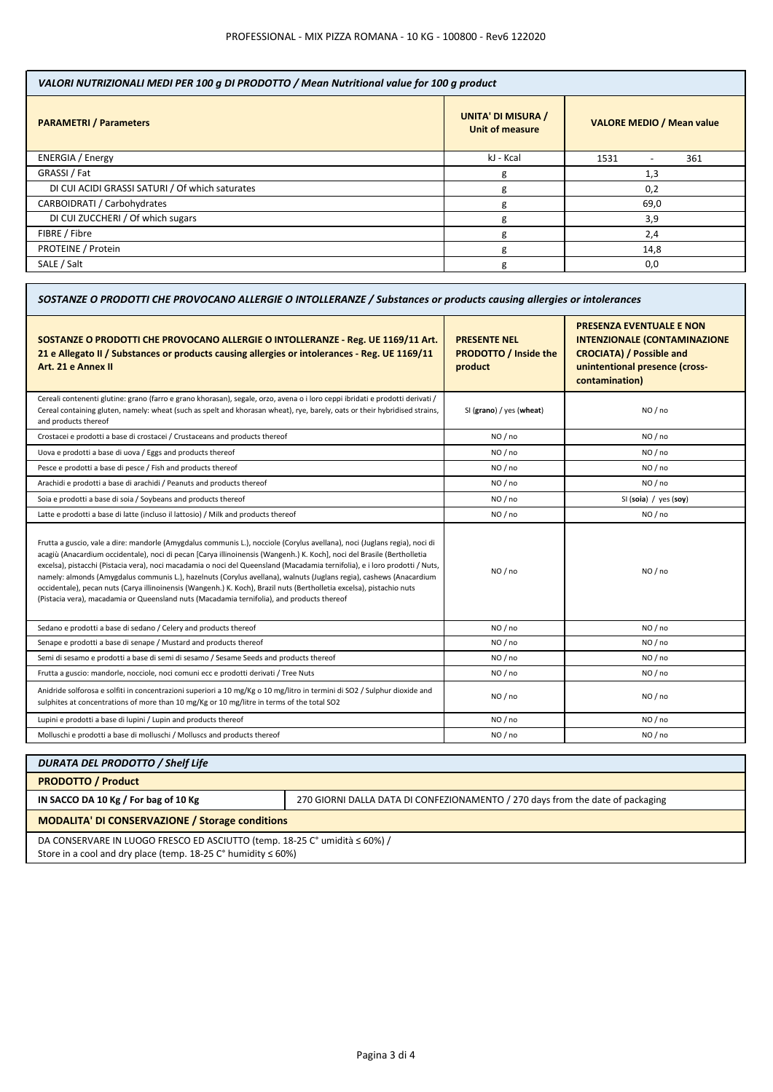| VALORI NUTRIZIONALI MEDI PER 100 g DI PRODOTTO / Mean Nutritional value for 100 g product |                                                     |                                         |  |
|-------------------------------------------------------------------------------------------|-----------------------------------------------------|-----------------------------------------|--|
| <b>PARAMETRI / Parameters</b>                                                             | <b>UNITA' DI MISURA /</b><br><b>Unit of measure</b> | <b>VALORE MEDIO / Mean value</b>        |  |
| <b>ENERGIA</b> / Energy                                                                   | kJ - Kcal                                           | 1531<br>361<br>$\overline{\phantom{0}}$ |  |
| GRASSI / Fat                                                                              | g                                                   | 1,3                                     |  |
| DI CUI ACIDI GRASSI SATURI / Of which saturates                                           | g                                                   | 0,2                                     |  |
| CARBOIDRATI / Carbohydrates                                                               | g                                                   | 69,0                                    |  |
| DI CUI ZUCCHERI / Of which sugars                                                         | g                                                   | 3,9                                     |  |
| FIBRE / Fibre                                                                             | g                                                   | 2,4                                     |  |
| PROTEINE / Protein                                                                        | g                                                   | 14,8                                    |  |
| SALE / Salt                                                                               | g                                                   | 0,0                                     |  |

| SOSTANZE O PRODOTTI CHE PROVOCANO ALLERGIE O INTOLLERANZE / Substances or products causing allergies or intolerances                                                                                                                                                                                                                                                                                                                                                                                                                                                                                                                                                                                                               |                                                                |                                                                                                                                                               |  |
|------------------------------------------------------------------------------------------------------------------------------------------------------------------------------------------------------------------------------------------------------------------------------------------------------------------------------------------------------------------------------------------------------------------------------------------------------------------------------------------------------------------------------------------------------------------------------------------------------------------------------------------------------------------------------------------------------------------------------------|----------------------------------------------------------------|---------------------------------------------------------------------------------------------------------------------------------------------------------------|--|
| SOSTANZE O PRODOTTI CHE PROVOCANO ALLERGIE O INTOLLERANZE - Reg. UE 1169/11 Art.<br>21 e Allegato II / Substances or products causing allergies or intolerances - Reg. UE 1169/11<br>Art. 21 e Annex II                                                                                                                                                                                                                                                                                                                                                                                                                                                                                                                            | <b>PRESENTE NEL</b><br><b>PRODOTTO / Inside the</b><br>product | <b>PRESENZA EVENTUALE E NON</b><br><b>INTENZIONALE (CONTAMINAZIONE</b><br><b>CROCIATA) / Possible and</b><br>unintentional presence (cross-<br>contamination) |  |
| Cereali contenenti glutine: grano (farro e grano khorasan), segale, orzo, avena o i loro ceppi ibridati e prodotti derivati /<br>Cereal containing gluten, namely: wheat (such as spelt and khorasan wheat), rye, barely, oats or their hybridised strains,<br>and products thereof                                                                                                                                                                                                                                                                                                                                                                                                                                                | SI (grano) / yes (wheat)                                       | NO / no                                                                                                                                                       |  |
| Crostacei e prodotti a base di crostacei / Crustaceans and products thereof                                                                                                                                                                                                                                                                                                                                                                                                                                                                                                                                                                                                                                                        | NO / no                                                        | NO / no                                                                                                                                                       |  |
| Uova e prodotti a base di uova / Eggs and products thereof                                                                                                                                                                                                                                                                                                                                                                                                                                                                                                                                                                                                                                                                         | NO / no                                                        | NO / no                                                                                                                                                       |  |
| Pesce e prodotti a base di pesce / Fish and products thereof                                                                                                                                                                                                                                                                                                                                                                                                                                                                                                                                                                                                                                                                       | NO / no                                                        | NO/no                                                                                                                                                         |  |
| Arachidi e prodotti a base di arachidi / Peanuts and products thereof                                                                                                                                                                                                                                                                                                                                                                                                                                                                                                                                                                                                                                                              | NO / no                                                        | NO / no                                                                                                                                                       |  |
| Soia e prodotti a base di soia / Soybeans and products thereof                                                                                                                                                                                                                                                                                                                                                                                                                                                                                                                                                                                                                                                                     | NO / no                                                        | SI (soia) / $yes$ (soy)                                                                                                                                       |  |
| Latte e prodotti a base di latte (incluso il lattosio) / Milk and products thereof                                                                                                                                                                                                                                                                                                                                                                                                                                                                                                                                                                                                                                                 | NO/no                                                          | NO / no                                                                                                                                                       |  |
| Frutta a guscio, vale a dire: mandorle (Amygdalus communis L.), nocciole (Corylus avellana), noci (Juglans regia), noci di<br>acagiù (Anacardium occidentale), noci di pecan [Carya illinoinensis (Wangenh.) K. Koch], noci del Brasile (Bertholletia<br>excelsa), pistacchi (Pistacia vera), noci macadamia o noci del Queensland (Macadamia ternifolia), e i loro prodotti / Nuts,<br>namely: almonds (Amygdalus communis L.), hazelnuts (Corylus avellana), walnuts (Juglans regia), cashews (Anacardium<br>occidentale), pecan nuts (Carya illinoinensis (Wangenh.) K. Koch), Brazil nuts (Bertholletia excelsa), pistachio nuts<br>(Pistacia vera), macadamia or Queensland nuts (Macadamia ternifolia), and products thereof | NO / no                                                        | NO / no                                                                                                                                                       |  |
| Sedano e prodotti a base di sedano / Celery and products thereof                                                                                                                                                                                                                                                                                                                                                                                                                                                                                                                                                                                                                                                                   | NO / no                                                        | NO / no                                                                                                                                                       |  |
| Senape e prodotti a base di senape / Mustard and products thereof                                                                                                                                                                                                                                                                                                                                                                                                                                                                                                                                                                                                                                                                  | NO / no                                                        | NO / no                                                                                                                                                       |  |
| Semi di sesamo e prodotti a base di semi di sesamo / Sesame Seeds and products thereof                                                                                                                                                                                                                                                                                                                                                                                                                                                                                                                                                                                                                                             | NO / no                                                        | NO / no                                                                                                                                                       |  |
| Frutta a guscio: mandorle, nocciole, noci comuni ecc e prodotti derivati / Tree Nuts                                                                                                                                                                                                                                                                                                                                                                                                                                                                                                                                                                                                                                               | NO/no                                                          | NO/no                                                                                                                                                         |  |
| Anidride solforosa e solfiti in concentrazioni superiori a 10 mg/Kg o 10 mg/litro in termini di SO2 / Sulphur dioxide and<br>sulphites at concentrations of more than 10 mg/Kg or 10 mg/litre in terms of the total SO2                                                                                                                                                                                                                                                                                                                                                                                                                                                                                                            | NO / no                                                        | NO / no                                                                                                                                                       |  |
| Lupini e prodotti a base di lupini / Lupin and products thereof                                                                                                                                                                                                                                                                                                                                                                                                                                                                                                                                                                                                                                                                    | NO / no                                                        | NO / no                                                                                                                                                       |  |
| Molluschi e prodotti a base di molluschi / Molluscs and products thereof                                                                                                                                                                                                                                                                                                                                                                                                                                                                                                                                                                                                                                                           | NO/no                                                          | NO/no                                                                                                                                                         |  |

| <b>DURATA DEL PRODOTTO / Shelf Life</b>                                                                                                                     |                                                                                |  |
|-------------------------------------------------------------------------------------------------------------------------------------------------------------|--------------------------------------------------------------------------------|--|
| <b>PRODOTTO / Product</b>                                                                                                                                   |                                                                                |  |
| IN SACCO DA 10 Kg / For bag of 10 Kg                                                                                                                        | 270 GIORNI DALLA DATA DI CONFEZIONAMENTO / 270 days from the date of packaging |  |
| <b>MODALITA' DI CONSERVAZIONE / Storage conditions</b>                                                                                                      |                                                                                |  |
| DA CONSERVARE IN LUOGO FRESCO ED ASCIUTTO (temp. 18-25 C° umidità ≤ 60%) /<br>Store in a cool and dry place (temp. 18-25 $C^{\circ}$ humidity $\leq 60\%$ ) |                                                                                |  |